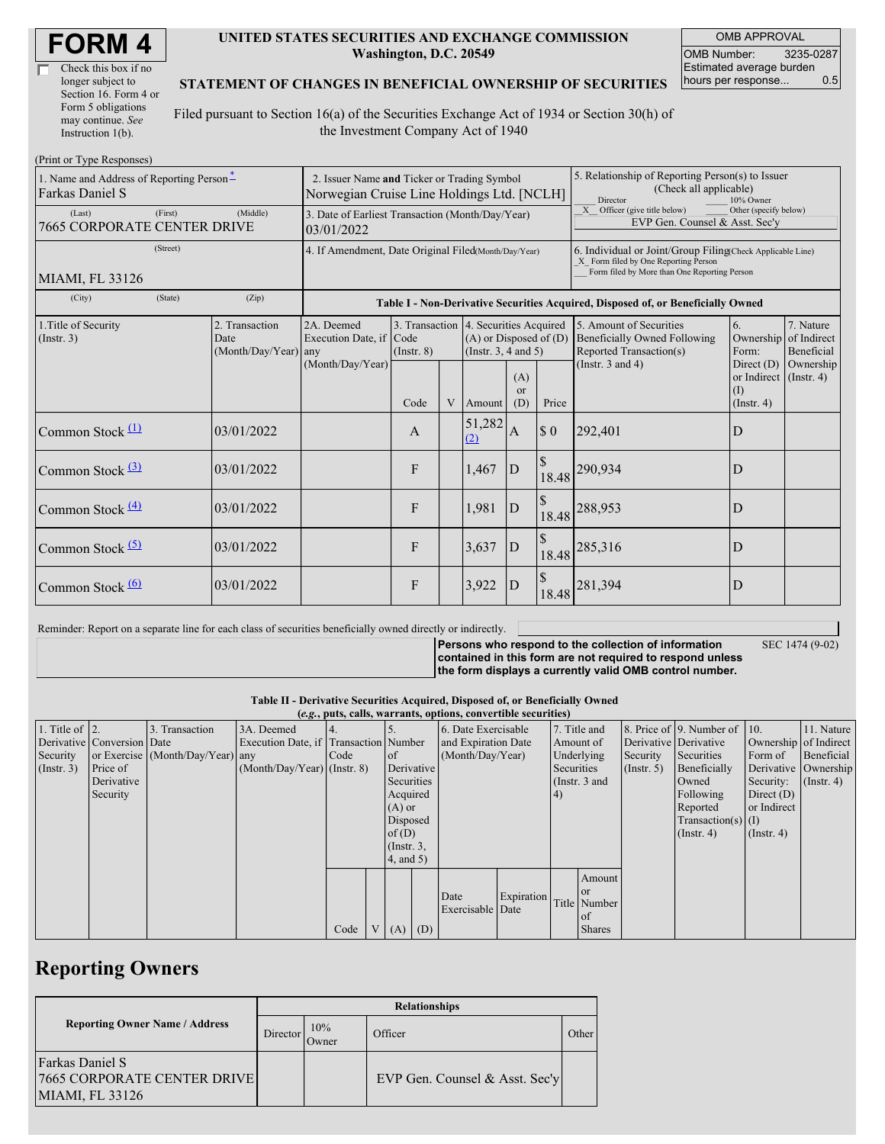| Check this box if no  |
|-----------------------|
| longer subject to     |
| Section 16. Form 4 or |
| Form 5 obligations    |
| may continue. See     |
| Instruction $1(b)$ .  |

#### **UNITED STATES SECURITIES AND EXCHANGE COMMISSION Washington, D.C. 20549**

OMB APPROVAL OMB Number: 3235-0287 Estimated average burden hours per response... 0.5

#### **STATEMENT OF CHANGES IN BENEFICIAL OWNERSHIP OF SECURITIES**

Filed pursuant to Section 16(a) of the Securities Exchange Act of 1934 or Section 30(h) of the Investment Company Act of 1940

| (Print or Type Responses)                                   |                                                                                           |                                       |                 |   |                                                                                                 |                             |                                                                                                                                                    |                                                                                           |                                                                   |                                        |
|-------------------------------------------------------------|-------------------------------------------------------------------------------------------|---------------------------------------|-----------------|---|-------------------------------------------------------------------------------------------------|-----------------------------|----------------------------------------------------------------------------------------------------------------------------------------------------|-------------------------------------------------------------------------------------------|-------------------------------------------------------------------|----------------------------------------|
| 1. Name and Address of Reporting Person-<br>Farkas Daniel S | 2. Issuer Name and Ticker or Trading Symbol<br>Norwegian Cruise Line Holdings Ltd. [NCLH] |                                       |                 |   |                                                                                                 |                             | 5. Relationship of Reporting Person(s) to Issuer<br>(Check all applicable)<br>Director<br>10% Owner                                                |                                                                                           |                                                                   |                                        |
| (First)<br>(Last)<br>7665 CORPORATE CENTER DRIVE            | 3. Date of Earliest Transaction (Month/Day/Year)<br>03/01/2022                            |                                       |                 |   |                                                                                                 |                             | Officer (give title below)<br>X<br>Other (specify below)<br>EVP Gen. Counsel & Asst. Sec'y                                                         |                                                                                           |                                                                   |                                        |
| (Street)<br>MIAMI, FL 33126                                 | 4. If Amendment, Date Original Filed(Month/Day/Year)                                      |                                       |                 |   |                                                                                                 |                             | 6. Individual or Joint/Group Filing(Check Applicable Line)<br>X Form filed by One Reporting Person<br>Form filed by More than One Reporting Person |                                                                                           |                                                                   |                                        |
| (State)<br>(City)                                           | (Zip)<br>Table I - Non-Derivative Securities Acquired, Disposed of, or Beneficially Owned |                                       |                 |   |                                                                                                 |                             |                                                                                                                                                    |                                                                                           |                                                                   |                                        |
| 1. Title of Security<br>(Insert. 3)                         | 2. Transaction<br>Date<br>$(Month/Day/Year)$ any                                          | 2A. Deemed<br>Execution Date, if Code | $($ Instr. $8)$ |   | 3. Transaction 4. Securities Acquired<br>$(A)$ or Disposed of $(D)$<br>(Instr. $3, 4$ and $5$ ) |                             |                                                                                                                                                    | 5. Amount of Securities<br><b>Beneficially Owned Following</b><br>Reported Transaction(s) | 6.<br>Ownership<br>Form:                                          | 7. Nature<br>of Indirect<br>Beneficial |
|                                                             |                                                                                           | (Month/Day/Year)                      | Code            | V | Amount                                                                                          | (A)<br><sub>or</sub><br>(D) | Price                                                                                                                                              | (Instr. $3$ and $4$ )                                                                     | Direct $(D)$<br>or Indirect (Instr. 4)<br>(I)<br>$($ Instr. 4 $)$ | Ownership                              |
| Common Stock $(1)$                                          | 03/01/2022                                                                                |                                       | $\mathbf{A}$    |   | 51,282<br>(2)                                                                                   | A                           | $\boldsymbol{\mathsf{S}}$ 0                                                                                                                        | 292,401                                                                                   | D                                                                 |                                        |
| Common Stock (3)                                            | 03/01/2022                                                                                |                                       | F               |   | 1,467                                                                                           | D                           | <sup>\$</sup><br>18.48                                                                                                                             | 290,934                                                                                   | D                                                                 |                                        |
| Common Stock $\frac{(4)}{4}$                                | 03/01/2022                                                                                |                                       | F               |   | 1,981                                                                                           | D                           | 18.48                                                                                                                                              | 288,953                                                                                   | D                                                                 |                                        |
| Common Stock <sup>(5)</sup>                                 | 03/01/2022                                                                                |                                       | F               |   | 3,637                                                                                           | D                           |                                                                                                                                                    | 18.48 285,316                                                                             | D                                                                 |                                        |
| Common Stock $\frac{(6)}{6}$                                | 03/01/2022                                                                                |                                       | F               |   | 3,922                                                                                           | D                           | 18.48                                                                                                                                              | 281,394                                                                                   | D                                                                 |                                        |

Reminder: Report on a separate line for each class of securities beneficially owned directly or indirectly.

**Persons who respond to the collection of information contained in this form are not required to respond unless** SEC 1474 (9-02)

**the form displays a currently valid OMB control number.**

**Table II - Derivative Securities Acquired, Disposed of, or Beneficially Owned**

| (e.g., puts, calls, warrants, options, convertible securities) |                            |                                  |                                       |      |  |                  |  |                     |            |            |                 |                  |                              |                       |                  |
|----------------------------------------------------------------|----------------------------|----------------------------------|---------------------------------------|------|--|------------------|--|---------------------|------------|------------|-----------------|------------------|------------------------------|-----------------------|------------------|
| 1. Title of $\vert$ 2.                                         |                            | 3. Transaction                   | 3A. Deemed                            |      |  |                  |  | 6. Date Exercisable |            |            | 7. Title and    |                  | 8. Price of 9. Number of 10. |                       | 11. Nature       |
|                                                                | Derivative Conversion Date |                                  | Execution Date, if Transaction Number |      |  |                  |  | and Expiration Date |            | Amount of  |                 |                  | Derivative Derivative        | Ownership of Indirect |                  |
| Security                                                       |                            | or Exercise (Month/Day/Year) any |                                       | Code |  | of               |  | (Month/Day/Year)    |            |            | Underlying      | Security         | Securities                   | Form of               | Beneficial       |
| $($ Instr. 3 $)$                                               | Price of                   |                                  | $(Month/Day/Year)$ (Instr. 8)         |      |  | Derivative       |  |                     |            | Securities |                 | $($ Instr. 5 $)$ | Beneficially                 | Derivative Ownership  |                  |
|                                                                | Derivative                 |                                  |                                       |      |  | Securities       |  |                     |            |            | (Instr. $3$ and |                  | Owned                        | Security:             | $($ Instr. 4 $)$ |
|                                                                | Security                   |                                  |                                       |      |  | Acquired         |  |                     |            | 4)         |                 |                  | Following                    | Direct $(D)$          |                  |
|                                                                |                            |                                  |                                       |      |  | $(A)$ or         |  |                     |            |            |                 |                  | Reported                     | or Indirect           |                  |
|                                                                |                            |                                  |                                       |      |  | Disposed         |  |                     |            |            |                 |                  | $Transaction(s)$ (I)         |                       |                  |
|                                                                |                            |                                  |                                       |      |  | of $(D)$         |  |                     |            |            |                 |                  | $($ Instr. 4)                | $($ Instr. 4 $)$      |                  |
|                                                                |                            |                                  |                                       |      |  | $($ Instr. $3$ , |  |                     |            |            |                 |                  |                              |                       |                  |
|                                                                |                            |                                  |                                       |      |  | $4$ , and $5$ )  |  |                     |            |            |                 |                  |                              |                       |                  |
|                                                                |                            |                                  |                                       |      |  |                  |  |                     |            |            | Amount          |                  |                              |                       |                  |
|                                                                |                            |                                  |                                       |      |  |                  |  |                     |            |            | <b>or</b>       |                  |                              |                       |                  |
|                                                                |                            |                                  |                                       |      |  |                  |  | Date                | Expiration |            | Title Number    |                  |                              |                       |                  |
|                                                                |                            |                                  |                                       |      |  |                  |  | Exercisable Date    |            |            | l of            |                  |                              |                       |                  |
|                                                                |                            |                                  |                                       | Code |  | $V(A)$ (D)       |  |                     |            |            | <b>Shares</b>   |                  |                              |                       |                  |

## **Reporting Owners**

|                                                                                  | <b>Relationships</b> |              |                                |       |  |  |  |  |  |  |
|----------------------------------------------------------------------------------|----------------------|--------------|--------------------------------|-------|--|--|--|--|--|--|
| <b>Reporting Owner Name / Address</b>                                            | Director             | 10%<br>Owner | Officer                        | Other |  |  |  |  |  |  |
| <b>Farkas Daniel S</b><br><b>7665 CORPORATE CENTER DRIVEL</b><br>MIAMI, FL 33126 |                      |              | EVP Gen. Counsel & Asst. Sec'y |       |  |  |  |  |  |  |